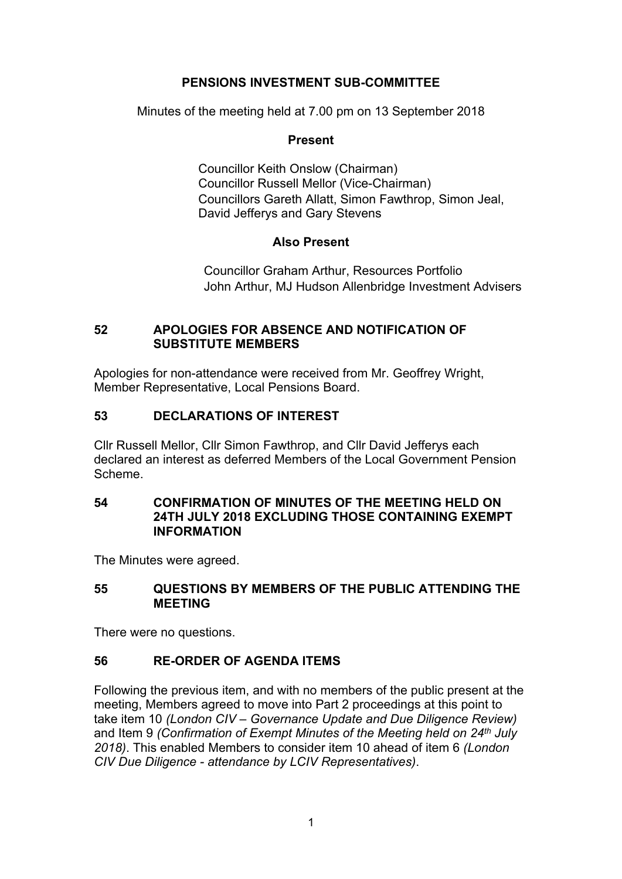# **PENSIONS INVESTMENT SUB-COMMITTEE**

Minutes of the meeting held at 7.00 pm on 13 September 2018

### **Present**

Councillor Keith Onslow (Chairman) Councillor Russell Mellor (Vice-Chairman) Councillors Gareth Allatt, Simon Fawthrop, Simon Jeal, David Jefferys and Gary Stevens

# **Also Present**

Councillor Graham Arthur, Resources Portfolio John Arthur, MJ Hudson Allenbridge Investment Advisers

# **52 APOLOGIES FOR ABSENCE AND NOTIFICATION OF SUBSTITUTE MEMBERS**

Apologies for non-attendance were received from Mr. Geoffrey Wright, Member Representative, Local Pensions Board.

# **53 DECLARATIONS OF INTEREST**

Cllr Russell Mellor, Cllr Simon Fawthrop, and Cllr David Jefferys each declared an interest as deferred Members of the Local Government Pension Scheme.

# **54 CONFIRMATION OF MINUTES OF THE MEETING HELD ON 24TH JULY 2018 EXCLUDING THOSE CONTAINING EXEMPT INFORMATION**

The Minutes were agreed.

# **55 QUESTIONS BY MEMBERS OF THE PUBLIC ATTENDING THE MEETING**

There were no questions.

# **56 RE-ORDER OF AGENDA ITEMS**

Following the previous item, and with no members of the public present at the meeting, Members agreed to move into Part 2 proceedings at this point to take item 10 *(London CIV – Governance Update and Due Diligence Review)* and Item 9 *(Confirmation of Exempt Minutes of the Meeting held on 24th July 2018)*. This enabled Members to consider item 10 ahead of item 6 *(London CIV Due Diligence - attendance by LCIV Representatives)*.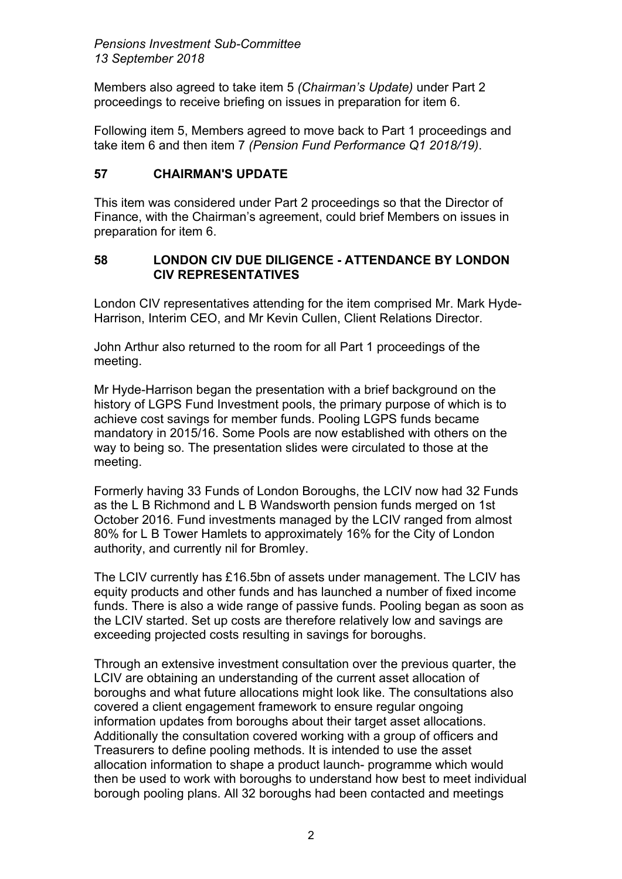Members also agreed to take item 5 *(Chairman's Update)* under Part 2 proceedings to receive briefing on issues in preparation for item 6.

Following item 5, Members agreed to move back to Part 1 proceedings and take item 6 and then item 7 *(Pension Fund Performance Q1 2018/19)*.

# **57 CHAIRMAN'S UPDATE**

This item was considered under Part 2 proceedings so that the Director of Finance, with the Chairman's agreement, could brief Members on issues in preparation for item 6.

# **58 LONDON CIV DUE DILIGENCE - ATTENDANCE BY LONDON CIV REPRESENTATIVES**

London CIV representatives attending for the item comprised Mr. Mark Hyde-Harrison, Interim CEO, and Mr Kevin Cullen, Client Relations Director.

John Arthur also returned to the room for all Part 1 proceedings of the meeting.

Mr Hyde-Harrison began the presentation with a brief background on the history of LGPS Fund Investment pools, the primary purpose of which is to achieve cost savings for member funds. Pooling LGPS funds became mandatory in 2015/16. Some Pools are now established with others on the way to being so. The presentation slides were circulated to those at the meeting.

Formerly having 33 Funds of London Boroughs, the LCIV now had 32 Funds as the L B Richmond and L B Wandsworth pension funds merged on 1st October 2016. Fund investments managed by the LCIV ranged from almost 80% for L B Tower Hamlets to approximately 16% for the City of London authority, and currently nil for Bromley.

The LCIV currently has £16.5bn of assets under management. The LCIV has equity products and other funds and has launched a number of fixed income funds. There is also a wide range of passive funds. Pooling began as soon as the LCIV started. Set up costs are therefore relatively low and savings are exceeding projected costs resulting in savings for boroughs.

Through an extensive investment consultation over the previous quarter, the LCIV are obtaining an understanding of the current asset allocation of boroughs and what future allocations might look like. The consultations also covered a client engagement framework to ensure regular ongoing information updates from boroughs about their target asset allocations. Additionally the consultation covered working with a group of officers and Treasurers to define pooling methods. It is intended to use the asset allocation information to shape a product launch- programme which would then be used to work with boroughs to understand how best to meet individual borough pooling plans. All 32 boroughs had been contacted and meetings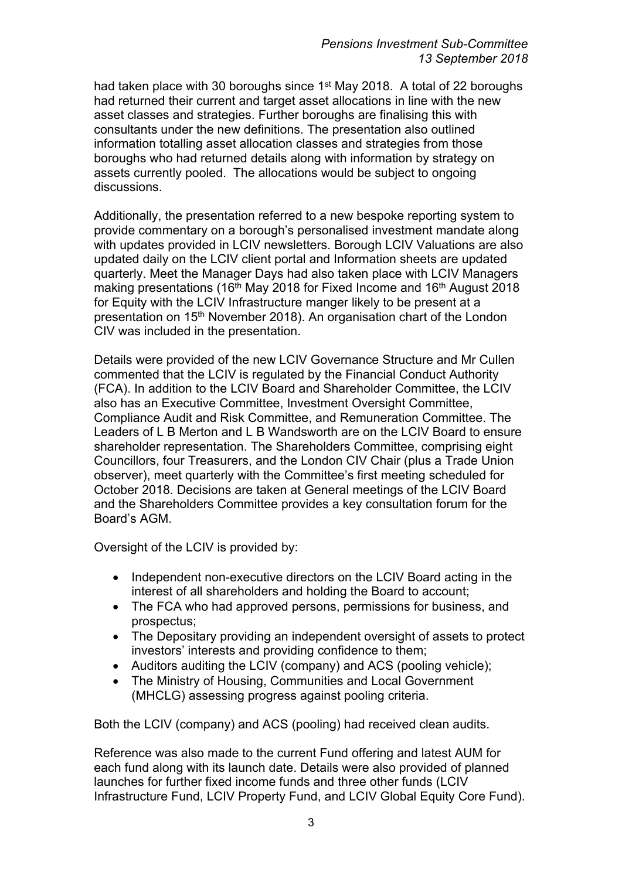had taken place with 30 boroughs since 1<sup>st</sup> May 2018. A total of 22 boroughs had returned their current and target asset allocations in line with the new asset classes and strategies. Further boroughs are finalising this with consultants under the new definitions. The presentation also outlined information totalling asset allocation classes and strategies from those boroughs who had returned details along with information by strategy on assets currently pooled. The allocations would be subject to ongoing discussions.

Additionally, the presentation referred to a new bespoke reporting system to provide commentary on a borough's personalised investment mandate along with updates provided in LCIV newsletters. Borough LCIV Valuations are also updated daily on the LCIV client portal and Information sheets are updated quarterly. Meet the Manager Days had also taken place with LCIV Managers making presentations (16<sup>th</sup> May 2018 for Fixed Income and 16<sup>th</sup> August 2018 for Equity with the LCIV Infrastructure manger likely to be present at a presentation on 15th November 2018). An organisation chart of the London CIV was included in the presentation.

Details were provided of the new LCIV Governance Structure and Mr Cullen commented that the LCIV is regulated by the Financial Conduct Authority (FCA). In addition to the LCIV Board and Shareholder Committee, the LCIV also has an Executive Committee, Investment Oversight Committee, Compliance Audit and Risk Committee, and Remuneration Committee. The Leaders of L B Merton and L B Wandsworth are on the LCIV Board to ensure shareholder representation. The Shareholders Committee, comprising eight Councillors, four Treasurers, and the London CIV Chair (plus a Trade Union observer), meet quarterly with the Committee's first meeting scheduled for October 2018. Decisions are taken at General meetings of the LCIV Board and the Shareholders Committee provides a key consultation forum for the Board's AGM.

Oversight of the LCIV is provided by:

- Independent non-executive directors on the LCIV Board acting in the interest of all shareholders and holding the Board to account;
- The FCA who had approved persons, permissions for business, and prospectus;
- The Depositary providing an independent oversight of assets to protect investors' interests and providing confidence to them;
- Auditors auditing the LCIV (company) and ACS (pooling vehicle);
- The Ministry of Housing, Communities and Local Government (MHCLG) assessing progress against pooling criteria.

Both the LCIV (company) and ACS (pooling) had received clean audits.

Reference was also made to the current Fund offering and latest AUM for each fund along with its launch date. Details were also provided of planned launches for further fixed income funds and three other funds (LCIV Infrastructure Fund, LCIV Property Fund, and LCIV Global Equity Core Fund).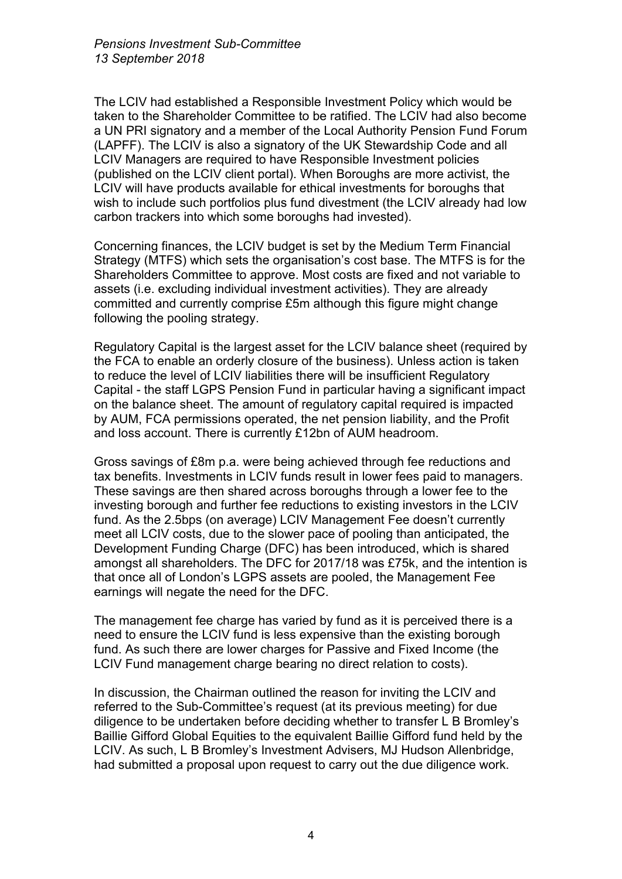The LCIV had established a Responsible Investment Policy which would be taken to the Shareholder Committee to be ratified. The LCIV had also become a UN PRI signatory and a member of the Local Authority Pension Fund Forum (LAPFF). The LCIV is also a signatory of the UK Stewardship Code and all LCIV Managers are required to have Responsible Investment policies (published on the LCIV client portal). When Boroughs are more activist, the LCIV will have products available for ethical investments for boroughs that wish to include such portfolios plus fund divestment (the LCIV already had low carbon trackers into which some boroughs had invested).

Concerning finances, the LCIV budget is set by the Medium Term Financial Strategy (MTFS) which sets the organisation's cost base. The MTFS is for the Shareholders Committee to approve. Most costs are fixed and not variable to assets (i.e. excluding individual investment activities). They are already committed and currently comprise £5m although this figure might change following the pooling strategy.

Regulatory Capital is the largest asset for the LCIV balance sheet (required by the FCA to enable an orderly closure of the business). Unless action is taken to reduce the level of LCIV liabilities there will be insufficient Regulatory Capital - the staff LGPS Pension Fund in particular having a significant impact on the balance sheet. The amount of regulatory capital required is impacted by AUM, FCA permissions operated, the net pension liability, and the Profit and loss account. There is currently £12bn of AUM headroom.

Gross savings of £8m p.a. were being achieved through fee reductions and tax benefits. Investments in LCIV funds result in lower fees paid to managers. These savings are then shared across boroughs through a lower fee to the investing borough and further fee reductions to existing investors in the LCIV fund. As the 2.5bps (on average) LCIV Management Fee doesn't currently meet all LCIV costs, due to the slower pace of pooling than anticipated, the Development Funding Charge (DFC) has been introduced, which is shared amongst all shareholders. The DFC for 2017/18 was £75k, and the intention is that once all of London's LGPS assets are pooled, the Management Fee earnings will negate the need for the DFC.

The management fee charge has varied by fund as it is perceived there is a need to ensure the LCIV fund is less expensive than the existing borough fund. As such there are lower charges for Passive and Fixed Income (the LCIV Fund management charge bearing no direct relation to costs).

In discussion, the Chairman outlined the reason for inviting the LCIV and referred to the Sub-Committee's request (at its previous meeting) for due diligence to be undertaken before deciding whether to transfer L B Bromley's Baillie Gifford Global Equities to the equivalent Baillie Gifford fund held by the LCIV. As such, L B Bromley's Investment Advisers, MJ Hudson Allenbridge, had submitted a proposal upon request to carry out the due diligence work.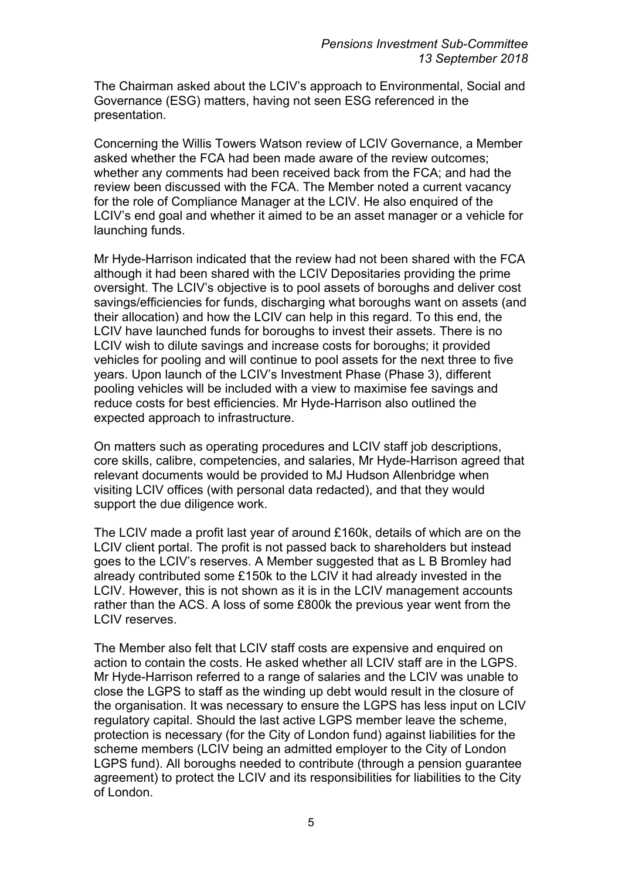The Chairman asked about the LCIV's approach to Environmental, Social and Governance (ESG) matters, having not seen ESG referenced in the presentation.

Concerning the Willis Towers Watson review of LCIV Governance, a Member asked whether the FCA had been made aware of the review outcomes; whether any comments had been received back from the FCA; and had the review been discussed with the FCA. The Member noted a current vacancy for the role of Compliance Manager at the LCIV. He also enquired of the LCIV's end goal and whether it aimed to be an asset manager or a vehicle for launching funds.

Mr Hyde-Harrison indicated that the review had not been shared with the FCA although it had been shared with the LCIV Depositaries providing the prime oversight. The LCIV's objective is to pool assets of boroughs and deliver cost savings/efficiencies for funds, discharging what boroughs want on assets (and their allocation) and how the LCIV can help in this regard. To this end, the LCIV have launched funds for boroughs to invest their assets. There is no LCIV wish to dilute savings and increase costs for boroughs; it provided vehicles for pooling and will continue to pool assets for the next three to five years. Upon launch of the LCIV's Investment Phase (Phase 3), different pooling vehicles will be included with a view to maximise fee savings and reduce costs for best efficiencies. Mr Hyde-Harrison also outlined the expected approach to infrastructure.

On matters such as operating procedures and LCIV staff job descriptions, core skills, calibre, competencies, and salaries, Mr Hyde-Harrison agreed that relevant documents would be provided to MJ Hudson Allenbridge when visiting LCIV offices (with personal data redacted), and that they would support the due diligence work.

The LCIV made a profit last year of around £160k, details of which are on the LCIV client portal. The profit is not passed back to shareholders but instead goes to the LCIV's reserves. A Member suggested that as L B Bromley had already contributed some £150k to the LCIV it had already invested in the LCIV. However, this is not shown as it is in the LCIV management accounts rather than the ACS. A loss of some £800k the previous year went from the LCIV reserves.

The Member also felt that LCIV staff costs are expensive and enquired on action to contain the costs. He asked whether all LCIV staff are in the LGPS. Mr Hyde-Harrison referred to a range of salaries and the LCIV was unable to close the LGPS to staff as the winding up debt would result in the closure of the organisation. It was necessary to ensure the LGPS has less input on LCIV regulatory capital. Should the last active LGPS member leave the scheme, protection is necessary (for the City of London fund) against liabilities for the scheme members (LCIV being an admitted employer to the City of London LGPS fund). All boroughs needed to contribute (through a pension guarantee agreement) to protect the LCIV and its responsibilities for liabilities to the City of London.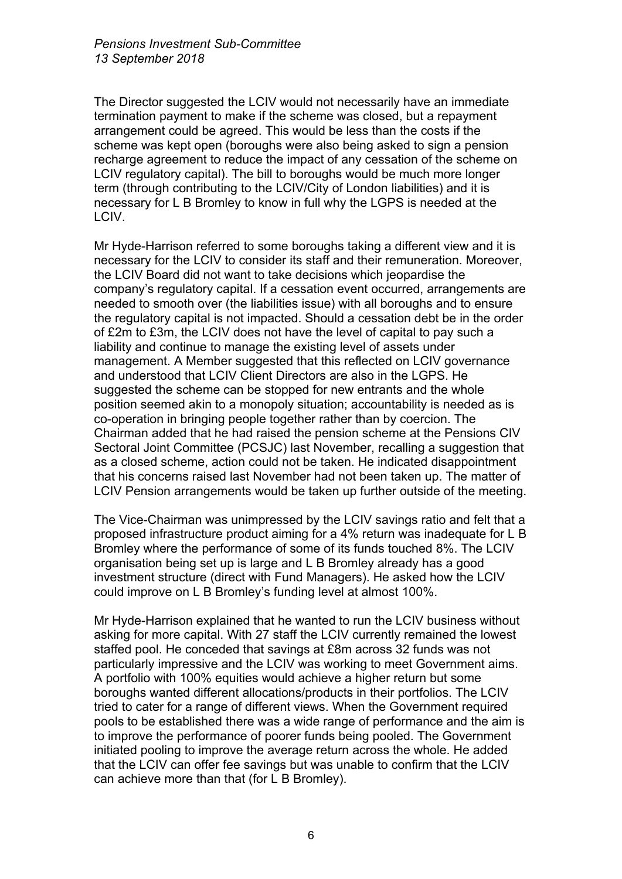The Director suggested the LCIV would not necessarily have an immediate termination payment to make if the scheme was closed, but a repayment arrangement could be agreed. This would be less than the costs if the scheme was kept open (boroughs were also being asked to sign a pension recharge agreement to reduce the impact of any cessation of the scheme on LCIV regulatory capital). The bill to boroughs would be much more longer term (through contributing to the LCIV/City of London liabilities) and it is necessary for L B Bromley to know in full why the LGPS is needed at the LCIV.

Mr Hyde-Harrison referred to some boroughs taking a different view and it is necessary for the LCIV to consider its staff and their remuneration. Moreover, the LCIV Board did not want to take decisions which jeopardise the company's regulatory capital. If a cessation event occurred, arrangements are needed to smooth over (the liabilities issue) with all boroughs and to ensure the regulatory capital is not impacted. Should a cessation debt be in the order of £2m to £3m, the LCIV does not have the level of capital to pay such a liability and continue to manage the existing level of assets under management. A Member suggested that this reflected on LCIV governance and understood that LCIV Client Directors are also in the LGPS. He suggested the scheme can be stopped for new entrants and the whole position seemed akin to a monopoly situation; accountability is needed as is co-operation in bringing people together rather than by coercion. The Chairman added that he had raised the pension scheme at the Pensions CIV Sectoral Joint Committee (PCSJC) last November, recalling a suggestion that as a closed scheme, action could not be taken. He indicated disappointment that his concerns raised last November had not been taken up. The matter of LCIV Pension arrangements would be taken up further outside of the meeting.

The Vice-Chairman was unimpressed by the LCIV savings ratio and felt that a proposed infrastructure product aiming for a 4% return was inadequate for L B Bromley where the performance of some of its funds touched 8%. The LCIV organisation being set up is large and L B Bromley already has a good investment structure (direct with Fund Managers). He asked how the LCIV could improve on L B Bromley's funding level at almost 100%.

Mr Hyde-Harrison explained that he wanted to run the LCIV business without asking for more capital. With 27 staff the LCIV currently remained the lowest staffed pool. He conceded that savings at £8m across 32 funds was not particularly impressive and the LCIV was working to meet Government aims. A portfolio with 100% equities would achieve a higher return but some boroughs wanted different allocations/products in their portfolios. The LCIV tried to cater for a range of different views. When the Government required pools to be established there was a wide range of performance and the aim is to improve the performance of poorer funds being pooled. The Government initiated pooling to improve the average return across the whole. He added that the LCIV can offer fee savings but was unable to confirm that the LCIV can achieve more than that (for L B Bromley).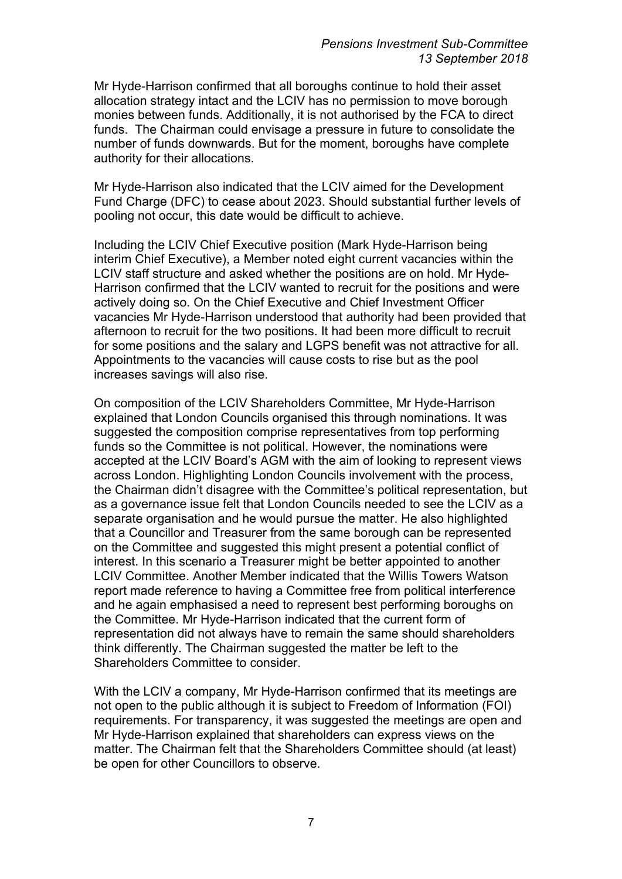Mr Hyde-Harrison confirmed that all boroughs continue to hold their asset allocation strategy intact and the LCIV has no permission to move borough monies between funds. Additionally, it is not authorised by the FCA to direct funds. The Chairman could envisage a pressure in future to consolidate the number of funds downwards. But for the moment, boroughs have complete authority for their allocations.

Mr Hyde-Harrison also indicated that the LCIV aimed for the Development Fund Charge (DFC) to cease about 2023. Should substantial further levels of pooling not occur, this date would be difficult to achieve.

Including the LCIV Chief Executive position (Mark Hyde-Harrison being interim Chief Executive), a Member noted eight current vacancies within the LCIV staff structure and asked whether the positions are on hold. Mr Hyde-Harrison confirmed that the LCIV wanted to recruit for the positions and were actively doing so. On the Chief Executive and Chief Investment Officer vacancies Mr Hyde-Harrison understood that authority had been provided that afternoon to recruit for the two positions. It had been more difficult to recruit for some positions and the salary and LGPS benefit was not attractive for all. Appointments to the vacancies will cause costs to rise but as the pool increases savings will also rise.

On composition of the LCIV Shareholders Committee, Mr Hyde-Harrison explained that London Councils organised this through nominations. It was suggested the composition comprise representatives from top performing funds so the Committee is not political. However, the nominations were accepted at the LCIV Board's AGM with the aim of looking to represent views across London. Highlighting London Councils involvement with the process, the Chairman didn't disagree with the Committee's political representation, but as a governance issue felt that London Councils needed to see the LCIV as a separate organisation and he would pursue the matter. He also highlighted that a Councillor and Treasurer from the same borough can be represented on the Committee and suggested this might present a potential conflict of interest. In this scenario a Treasurer might be better appointed to another LCIV Committee. Another Member indicated that the Willis Towers Watson report made reference to having a Committee free from political interference and he again emphasised a need to represent best performing boroughs on the Committee. Mr Hyde-Harrison indicated that the current form of representation did not always have to remain the same should shareholders think differently. The Chairman suggested the matter be left to the Shareholders Committee to consider.

With the LCIV a company. Mr Hyde-Harrison confirmed that its meetings are not open to the public although it is subject to Freedom of Information (FOI) requirements. For transparency, it was suggested the meetings are open and Mr Hyde-Harrison explained that shareholders can express views on the matter. The Chairman felt that the Shareholders Committee should (at least) be open for other Councillors to observe.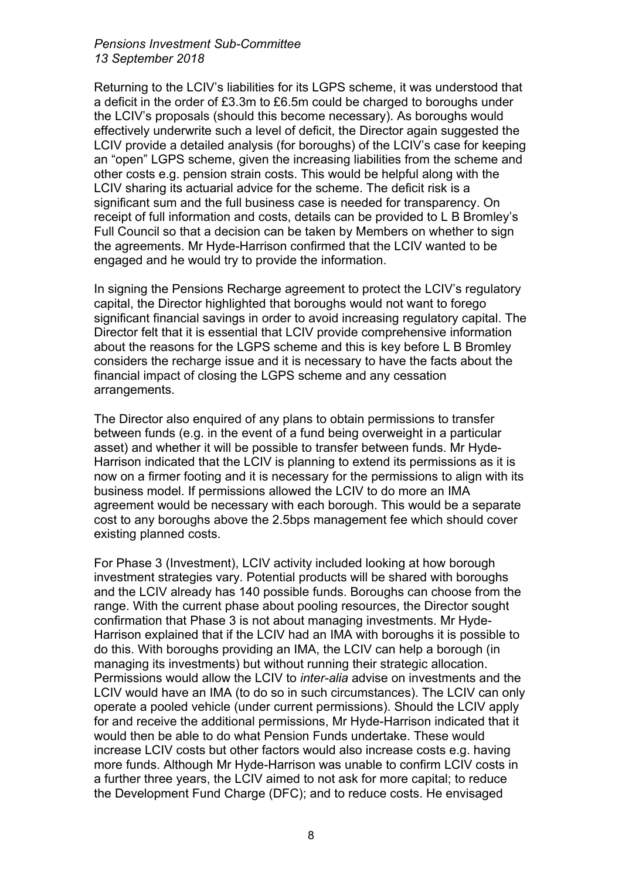#### *Pensions Investment Sub-Committee 13 September 2018*

Returning to the LCIV's liabilities for its LGPS scheme, it was understood that a deficit in the order of £3.3m to £6.5m could be charged to boroughs under the LCIV's proposals (should this become necessary). As boroughs would effectively underwrite such a level of deficit, the Director again suggested the LCIV provide a detailed analysis (for boroughs) of the LCIV's case for keeping an "open" LGPS scheme, given the increasing liabilities from the scheme and other costs e.g. pension strain costs. This would be helpful along with the LCIV sharing its actuarial advice for the scheme. The deficit risk is a significant sum and the full business case is needed for transparency. On receipt of full information and costs, details can be provided to L B Bromley's Full Council so that a decision can be taken by Members on whether to sign the agreements. Mr Hyde-Harrison confirmed that the LCIV wanted to be engaged and he would try to provide the information.

In signing the Pensions Recharge agreement to protect the LCIV's regulatory capital, the Director highlighted that boroughs would not want to forego significant financial savings in order to avoid increasing regulatory capital. The Director felt that it is essential that LCIV provide comprehensive information about the reasons for the LGPS scheme and this is key before L B Bromley considers the recharge issue and it is necessary to have the facts about the financial impact of closing the LGPS scheme and any cessation arrangements.

The Director also enquired of any plans to obtain permissions to transfer between funds (e.g. in the event of a fund being overweight in a particular asset) and whether it will be possible to transfer between funds. Mr Hyde-Harrison indicated that the LCIV is planning to extend its permissions as it is now on a firmer footing and it is necessary for the permissions to align with its business model. If permissions allowed the LCIV to do more an IMA agreement would be necessary with each borough. This would be a separate cost to any boroughs above the 2.5bps management fee which should cover existing planned costs.

For Phase 3 (Investment), LCIV activity included looking at how borough investment strategies vary. Potential products will be shared with boroughs and the LCIV already has 140 possible funds. Boroughs can choose from the range. With the current phase about pooling resources, the Director sought confirmation that Phase 3 is not about managing investments. Mr Hyde-Harrison explained that if the LCIV had an IMA with boroughs it is possible to do this. With boroughs providing an IMA, the LCIV can help a borough (in managing its investments) but without running their strategic allocation. Permissions would allow the LCIV to *inter-alia* advise on investments and the LCIV would have an IMA (to do so in such circumstances). The LCIV can only operate a pooled vehicle (under current permissions). Should the LCIV apply for and receive the additional permissions, Mr Hyde-Harrison indicated that it would then be able to do what Pension Funds undertake. These would increase LCIV costs but other factors would also increase costs e.g. having more funds. Although Mr Hyde-Harrison was unable to confirm LCIV costs in a further three years, the LCIV aimed to not ask for more capital; to reduce the Development Fund Charge (DFC); and to reduce costs. He envisaged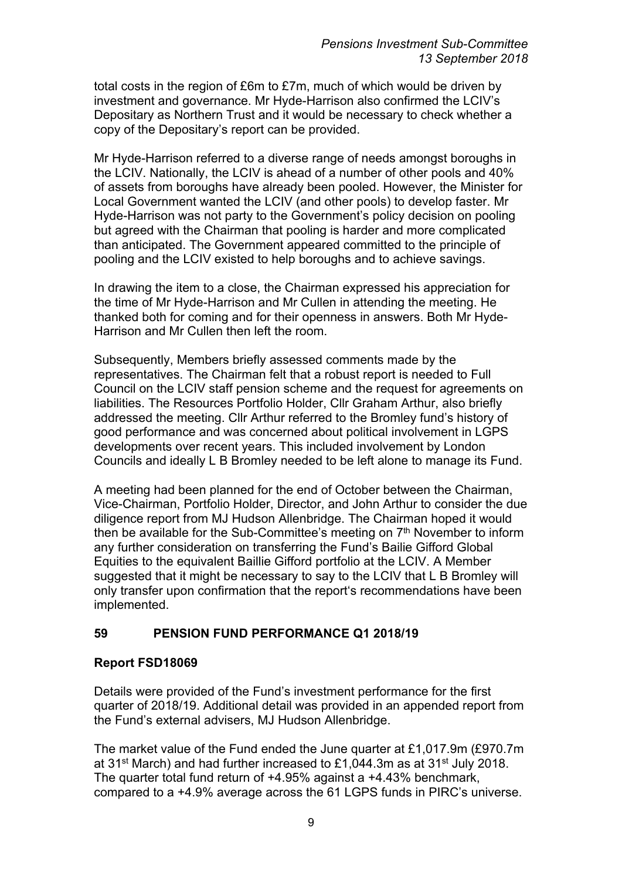total costs in the region of £6m to £7m, much of which would be driven by investment and governance. Mr Hyde-Harrison also confirmed the LCIV's Depositary as Northern Trust and it would be necessary to check whether a copy of the Depositary's report can be provided.

Mr Hyde-Harrison referred to a diverse range of needs amongst boroughs in the LCIV. Nationally, the LCIV is ahead of a number of other pools and 40% of assets from boroughs have already been pooled. However, the Minister for Local Government wanted the LCIV (and other pools) to develop faster. Mr Hyde-Harrison was not party to the Government's policy decision on pooling but agreed with the Chairman that pooling is harder and more complicated than anticipated. The Government appeared committed to the principle of pooling and the LCIV existed to help boroughs and to achieve savings.

In drawing the item to a close, the Chairman expressed his appreciation for the time of Mr Hyde-Harrison and Mr Cullen in attending the meeting. He thanked both for coming and for their openness in answers. Both Mr Hyde-Harrison and Mr Cullen then left the room.

Subsequently, Members briefly assessed comments made by the representatives. The Chairman felt that a robust report is needed to Full Council on the LCIV staff pension scheme and the request for agreements on liabilities. The Resources Portfolio Holder, Cllr Graham Arthur, also briefly addressed the meeting. Cllr Arthur referred to the Bromley fund's history of good performance and was concerned about political involvement in LGPS developments over recent years. This included involvement by London Councils and ideally L B Bromley needed to be left alone to manage its Fund.

A meeting had been planned for the end of October between the Chairman, Vice-Chairman, Portfolio Holder, Director, and John Arthur to consider the due diligence report from MJ Hudson Allenbridge. The Chairman hoped it would then be available for the Sub-Committee's meeting on 7<sup>th</sup> November to inform any further consideration on transferring the Fund's Bailie Gifford Global Equities to the equivalent Baillie Gifford portfolio at the LCIV. A Member suggested that it might be necessary to say to the LCIV that L B Bromley will only transfer upon confirmation that the report's recommendations have been implemented.

# **59 PENSION FUND PERFORMANCE Q1 2018/19**

# **Report FSD18069**

Details were provided of the Fund's investment performance for the first quarter of 2018/19. Additional detail was provided in an appended report from the Fund's external advisers, MJ Hudson Allenbridge.

The market value of the Fund ended the June quarter at £1,017.9m (£970.7m at 31st March) and had further increased to £1,044.3m as at 31st July 2018. The quarter total fund return of +4.95% against a +4.43% benchmark, compared to a +4.9% average across the 61 LGPS funds in PIRC's universe.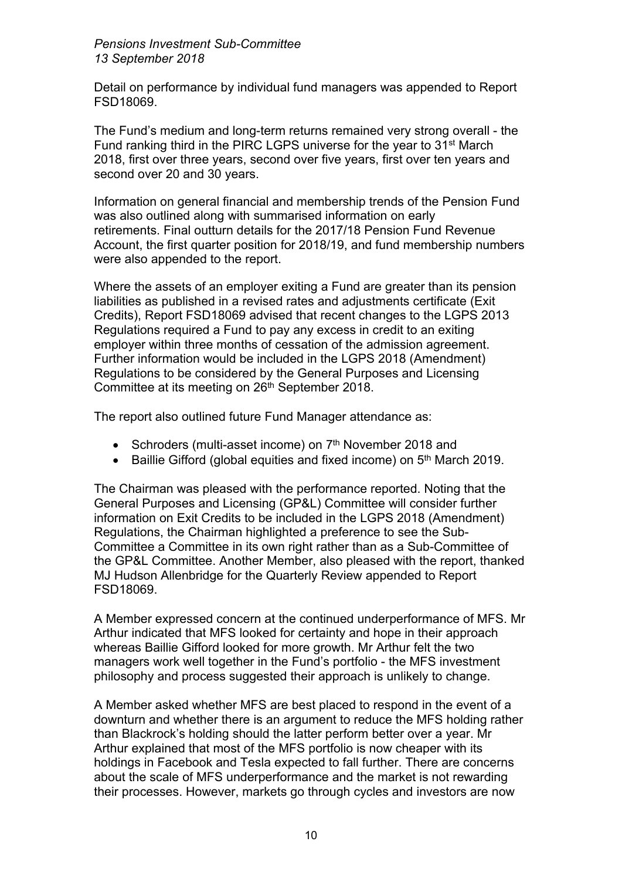*Pensions Investment Sub-Committee 13 September 2018*

Detail on performance by individual fund managers was appended to Report FSD18069.

The Fund's medium and long-term returns remained very strong overall - the Fund ranking third in the PIRC LGPS universe for the year to 31st March 2018, first over three years, second over five years, first over ten years and second over 20 and 30 years.

Information on general financial and membership trends of the Pension Fund was also outlined along with summarised information on early retirements. Final outturn details for the 2017/18 Pension Fund Revenue Account, the first quarter position for 2018/19, and fund membership numbers were also appended to the report.

Where the assets of an employer exiting a Fund are greater than its pension liabilities as published in a revised rates and adjustments certificate (Exit Credits), Report FSD18069 advised that recent changes to the LGPS 2013 Regulations required a Fund to pay any excess in credit to an exiting employer within three months of cessation of the admission agreement. Further information would be included in the LGPS 2018 (Amendment) Regulations to be considered by the General Purposes and Licensing Committee at its meeting on 26th September 2018.

The report also outlined future Fund Manager attendance as:

- Schroders (multi-asset income) on 7<sup>th</sup> November 2018 and
- Baillie Gifford (global equities and fixed income) on 5<sup>th</sup> March 2019.

The Chairman was pleased with the performance reported. Noting that the General Purposes and Licensing (GP&L) Committee will consider further information on Exit Credits to be included in the LGPS 2018 (Amendment) Regulations, the Chairman highlighted a preference to see the Sub-Committee a Committee in its own right rather than as a Sub-Committee of the GP&L Committee. Another Member, also pleased with the report, thanked MJ Hudson Allenbridge for the Quarterly Review appended to Report FSD18069.

A Member expressed concern at the continued underperformance of MFS. Mr Arthur indicated that MFS looked for certainty and hope in their approach whereas Baillie Gifford looked for more growth. Mr Arthur felt the two managers work well together in the Fund's portfolio - the MFS investment philosophy and process suggested their approach is unlikely to change.

A Member asked whether MFS are best placed to respond in the event of a downturn and whether there is an argument to reduce the MFS holding rather than Blackrock's holding should the latter perform better over a year. Mr Arthur explained that most of the MFS portfolio is now cheaper with its holdings in Facebook and Tesla expected to fall further. There are concerns about the scale of MFS underperformance and the market is not rewarding their processes. However, markets go through cycles and investors are now